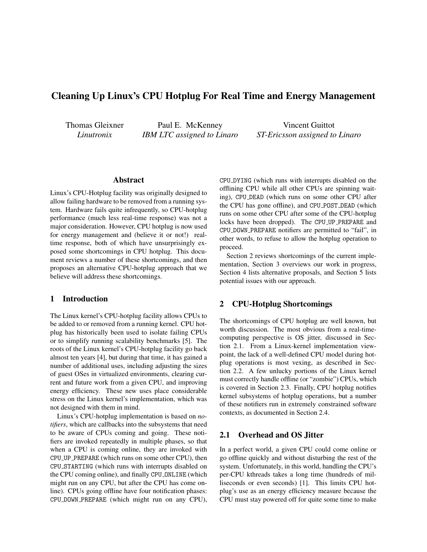# Cleaning Up Linux's CPU Hotplug For Real Time and Energy Management

Thomas Gleixner *Linutronix*

Paul E. McKenney *IBM LTC assigned to Linaro*

Vincent Guittot *ST-Ericsson assigned to Linaro*

### Abstract

Linux's CPU-Hotplug facility was originally designed to allow failing hardware to be removed from a running system. Hardware fails quite infrequently, so CPU-hotplug performance (much less real-time response) was not a major consideration. However, CPU hotplug is now used for energy management and (believe it or not!) realtime response, both of which have unsurprisingly exposed some shortcomings in CPU hotplug. This document reviews a number of these shortcomings, and then proposes an alternative CPU-hotplug approach that we believe will address these shortcomings.

# 1 Introduction

The Linux kernel's CPU-hotplug facility allows CPUs to be added to or removed from a running kernel. CPU hotplug has historically been used to isolate failing CPUs or to simplify running scalability benchmarks [\[5\]](#page-3-0). The roots of the Linux kernel's CPU-hotplug facility go back almost ten years [\[4\]](#page-3-1), but during that time, it has gained a number of additional uses, including adjusting the sizes of guest OSes in virtualized environments, clearing current and future work from a given CPU, and improving energy efficiency. These new uses place considerable stress on the Linux kernel's implementation, which was not designed with them in mind.

Linux's CPU-hotplug implementation is based on *notifiers*, which are callbacks into the subsystems that need to be aware of CPUs coming and going. These notifiers are invoked repeatedly in multiple phases, so that when a CPU is coming online, they are invoked with CPU UP PREPARE (which runs on some other CPU), then CPU STARTING (which runs with interrupts disabled on the CPU coming online), and finally CPU ONLINE (which might run on any CPU, but after the CPU has come online). CPUs going offline have four notification phases: CPU DOWN PREPARE (which might run on any CPU), CPU DYING (which runs with interrupts disabled on the offlining CPU while all other CPUs are spinning waiting), CPU DEAD (which runs on some other CPU after the CPU has gone offline), and CPU POST DEAD (which runs on some other CPU after some of the CPU-hotplug locks have been dropped). The CPU UP PREPARE and CPU DOWN PREPARE notifiers are permitted to "fail", in other words, to refuse to allow the hotplug operation to proceed.

Section [2](#page-0-0) reviews shortcomings of the current implementation, Section [3](#page-1-0) overviews our work in progress, Section [4](#page-3-2) lists alternative proposals, and Section [5](#page-3-3) lists potential issues with our approach.

# <span id="page-0-0"></span>2 CPU-Hotplug Shortcomings

The shortcomings of CPU hotplug are well known, but worth discussion. The most obvious from a real-timecomputing perspective is OS jitter, discussed in Section [2.1.](#page-0-1) From a Linux-kernel implementation viewpoint, the lack of a well-defined CPU model during hotplug operations is most vexing, as described in Section [2.2.](#page-1-1) A few unlucky portions of the Linux kernel must correctly handle offline (or "zombie") CPUs, which is covered in Section [2.3.](#page-1-2) Finally, CPU hotplug notifies kernel subsystems of hotplug operations, but a number of these notifiers run in extremely constrained software contexts, as documented in Section [2.4.](#page-1-3)

### <span id="page-0-1"></span>2.1 Overhead and OS Jitter

In a perfect world, a given CPU could come online or go offline quickly and without disturbing the rest of the system. Unfortunately, in this world, handling the CPU's per-CPU kthreads takes a long time (hundreds of milliseconds or even seconds) [\[1\]](#page-3-4). This limits CPU hotplug's use as an energy efficiency measure because the CPU must stay powered off for quite some time to make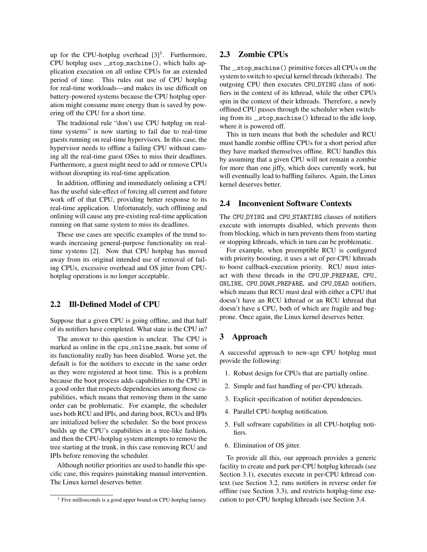up for the CPU-hotplug overhead  $[3]$ <sup>[1](#page-1-4)</sup>. Furthermore, CPU hotplug uses  $\_stop\_machine()$ , which halts application execution on all online CPUs for an extended period of time. This rules out use of CPU hotplug for real-time workloads—and makes its use difficult on battery-powered systems because the CPU hotplug operation might consume more energy than is saved by powering off the CPU for a short time.

The traditional rule "don't use CPU hotplug on realtime systems" is now starting to fail due to real-time guests running on real-time hypervisors. In this case, the hypervisor needs to offline a failing CPU without causing all the real-time guest OSes to miss their deadlines. Furthermore, a guest might need to add or remove CPUs without disrupting its real-time application.

In addition, offlining and immediately onlining a CPU has the useful side-effect of forcing all current and future work off of that CPU, providing better response to its real-time application. Unfortunately, such offlining and onlining will cause any pre-existing real-time application running on that same system to miss its deadlines.

These use cases are specific examples of the trend towards increasing general-purpose functionality on realtime systems [\[2\]](#page-3-6). Now that CPU hotplug has moved away from its original intended use of removal of failing CPUs, excessive overhead and OS jitter from CPUhotplug operations is no longer acceptable.

# <span id="page-1-1"></span>2.2 Ill-Defined Model of CPU

Suppose that a given CPU is going offline, and that half of its notifiers have completed. What state is the CPU in?

The answer to this question is unclear. The CPU is marked as online in the cpu\_online\_mask, but some of its functionality really has been disabled. Worse yet, the default is for the notifiers to execute in the same order as they were registered at boot time. This is a problem because the boot process adds capabilities to the CPU in a good order that respects dependencies among those capabilities, which means that removing them in the same order can be problematic. For example, the scheduler uses both RCU and IPIs, and during boot, RCUs and IPIs are initialized before the scheduler. So the boot process builds up the CPU's capabilities in a tree-like fashion, and then the CPU-hotplug system attempts to remove the tree starting at the trunk, in this case removing RCU and IPIs before removing the scheduler.

Although notifier priorities are used to handle this specific case, this requires painstaking manual intervention. The Linux kernel deserves better.

# <span id="page-1-2"></span>2.3 Zombie CPUs

The \_stop\_machine() primitive forces all CPUs on the system to switch to special kernel threads (kthreads). The outgoing CPU then executes CPU DYING class of notifiers in the context of its kthread, while the other CPUs spin in the context of their kthreads. Therefore, a newly offlined CPU passes through the scheduler when switching from its  $\text{\textendash}$   $\text{in}$   $\text{in}$   $\text{in}$   $\text{in}$   $\text{in}$   $\text{in}$   $\text{in}$   $\text{in}$   $\text{in}$   $\text{in}$   $\text{in}$   $\text{in}$   $\text{in}$   $\text{in}$   $\text{in}$   $\text{in}$   $\text{in}$   $\text{in}$   $\text{in}$   $\text{in}$   $\text{in}$   $\text{in}$   $\text{in}$   $\text{in}$   $\text{in}$ where it is powered off.

This in turn means that both the scheduler and RCU must handle zombie offline CPUs for a short period after they have marked themselves offline. RCU handles this by assuming that a given CPU will not remain a zombie for more than one jiffy, which does currently work, but will eventually lead to baffling failures. Again, the Linux kernel deserves better.

# <span id="page-1-3"></span>2.4 Inconvenient Software Contexts

The CPU DYING and CPU STARTING classes of notifiers execute with interrupts disabled, which prevents them from blocking, which in turn prevents them from starting or stopping kthreads, which in turn can be problematic.

For example, when preemptible RCU is configured with priority boosting, it uses a set of per-CPU kthreads to boost callback-execution priority. RCU must interact with these threads in the CPU UP PREPARE, CPU ONLINE, CPU DOWN PREPARE, and CPU DEAD notifiers, which means that RCU must deal with either a CPU that doesn't have an RCU kthread or an RCU kthread that doesn't have a CPU, both of which are fragile and bugprone. Once again, the Linux kernel deserves better.

### <span id="page-1-0"></span>3 Approach

A successful approach to new-age CPU hotplug must provide the following:

- 1. Robust design for CPUs that are partially online.
- 2. Simple and fast handling of per-CPU kthreads.
- 3. Explicit specification of notifier dependencies.
- 4. Parallel CPU-hotplug notification.
- 5. Full software capabilities in all CPU-hotplug notifiers.
- 6. Elimination of OS jitter.

To provide all this, our approach provides a generic facility to create and park per-CPU hotplug kthreads (see Section [3.1\)](#page-2-0), executes execute in per-CPU kthread context (see Section [3.2,](#page-2-1) runs notifiers in reverse order for offline (see Section [3.3\)](#page-2-2), and restricts hotplug-time execution to per-CPU hotplug kthreads (see Section [3.4.](#page-2-3)

<span id="page-1-4"></span><sup>&</sup>lt;sup>1</sup> Five milliseconds is a good upper bound on CPU-hotplug latency.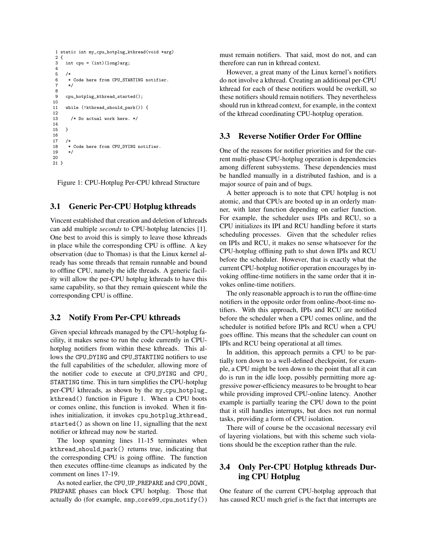```
1 static int my_cpu_hotplug_kthread(void *arg)
2 \t3int cpu = (int)(long)arg;4
5<br>6
6 * Code here from CPU_STARTING notifier.
 7 */
8
     9 cpu_hotplug_kthread_started();
10
11 while (!kthread_should_park()) {
12
13 /* Do actual work here. */
14<br>15\mathbf{1}16
17 /*
18 * Code here from CPU_DYING notifier.
19 */
2021 }
```
Figure 1: CPU-Hotplug Per-CPU kthread Structure

# <span id="page-2-0"></span>3.1 Generic Per-CPU Hotplug kthreads

Vincent established that creation and deletion of kthreads can add multiple *seconds* to CPU-hotplug latencies [\[1\]](#page-3-4). One best to avoid this is simply to leave those kthreads in place while the corresponding CPU is offline. A key observation (due to Thomas) is that the Linux kernel already has some threads that remain runnable and bound to offline CPU, namely the idle threads. A generic facility will allow the per-CPU hotplug kthreads to have this same capability, so that they remain quiescent while the corresponding CPU is offline.

# <span id="page-2-1"></span>3.2 Notify From Per-CPU kthreads

Given special kthreads managed by the CPU-hotplug facility, it makes sense to run the code currently in CPUhotplug notifiers from within these kthreads. This allows the CPU DYING and CPU STARTING notifiers to use the full capabilities of the scheduler, allowing more of the notifier code to execute at CPU\_DYING and CPU\_ STARTING time. This in turn simplifies the CPU-hotplug per-CPU kthreads, as shown by the my cpu hotplug kthread() function in Figure [1.](#page-2-4) When a CPU boots or comes online, this function is invoked. When it finishes initialization, it invokes cpu hotplug kthread started() as shown on line 11, signalling that the next notifier or kthread may now be started.

The loop spanning lines 11-15 terminates when kthread should park() returns true, indicating that the corresponding CPU is going offline. The function then executes offline-time cleanups as indicated by the comment on lines 17-19.

As noted earlier, the CPU UP PREPARE and CPU DOWN PREPARE phases can block CPU hotplug. Those that actually do (for example, smp core99 cpu notify()) must remain notifiers. That said, most do not, and can therefore can run in kthread context.

However, a great many of the Linux kernel's notifiers do not involve a kthread. Creating an additional per-CPU kthread for each of these notifiers would be overkill, so these notifiers should remain notifiers. They nevertheless should run in kthread context, for example, in the context of the kthread coordinating CPU-hotplug operation.

### <span id="page-2-2"></span>3.3 Reverse Notifier Order For Offline

One of the reasons for notifier priorities and for the current multi-phase CPU-hotplug operation is dependencies among different subsystems. These dependencies must be handled manually in a distributed fashion, and is a major source of pain and of bugs.

A better approach is to note that CPU hotplug is not atomic, and that CPUs are booted up in an orderly manner, with later function depending on earlier function. For example, the scheduler uses IPIs and RCU, so a CPU initializes its IPI and RCU handling before it starts scheduling processes. Given that the scheduler relies on IPIs and RCU, it makes no sense whatsoever for the CPU-hotplug offlining path to shut down IPIs and RCU before the scheduler. However, that is exactly what the current CPU-hotplug notifier operation encourages by invoking offline-time notifiers in the same order that it invokes online-time notifiers.

The only reasonable approach is to run the offline-time notifiers in the opposite order from online-/boot-time notifiers. With this approach, IPIs and RCU are notified before the scheduler when a CPU comes online, and the scheduler is notified before IPIs and RCU when a CPU goes offline. This means that the scheduler can count on IPIs and RCU being operational at all times.

In addition, this approach permits a CPU to be partially torn down to a well-defined checkpoint, for example, a CPU might be torn down to the point that all it can do is run in the idle loop, possibly permitting more aggressive power-efficiency measures to be brought to bear while providing improved CPU-online latency. Another example is partially tearing the CPU down to the point that it still handles interrupts, but does not run normal tasks, providing a form of CPU isolation.

There will of course be the occasional necessary evil of layering violations, but with this scheme such violations should be the exception rather than the rule.

# <span id="page-2-3"></span>3.4 Only Per-CPU Hotplug kthreads During CPU Hotplug

One feature of the current CPU-hotplug approach that has caused RCU much grief is the fact that interrupts are